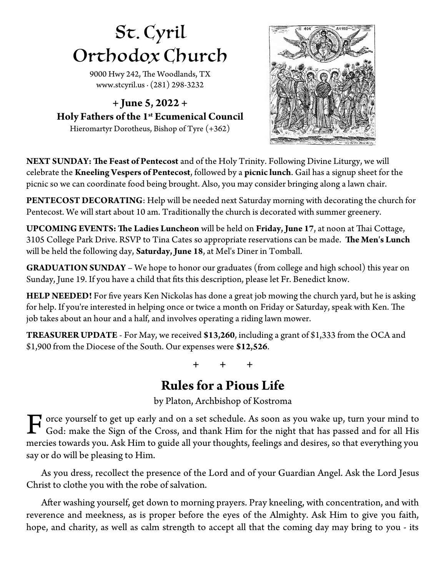## St. Cyril Orthodox Church

9000 Hwy 242, The Woodlands, TX [www.stcyril.us](http://www.stcyril.us/) ∙ (281) 298-3232

**+ June 5, 2022 + Holy Fathers of the 1st Ecumenical Council** Hieromartyr Dorotheus, Bishop of Tyre (+362)



NEXT SUNDAY: The Feast of Pentecost and of the Holy Trinity. Following Divine Liturgy, we will celebrate the **Kneeling Vespers of Pentecost**, followed by a **picnic lunch**. Gail has a signup sheet for the picnic so we can coordinate food being brought. Also, you may consider bringing along a lawn chair.

**PENTECOST DECORATING:** Help will be needed next Saturday morning with decorating the church for Pentecost. We will start about 10 am. Traditionally the church is decorated with summer greenery.

**UPCOMING EVENTS: The Ladies Luncheon** will be held on **Friday**, June 17, at noon at Thai Cottage, 3105 College Park Drive. RSVP to Tina Cates so appropriate reservations can be made. The Men's Lunch will be held the following day, **Saturday, June 18**, at Mel's Diner in Tomball.

**GRADUATION SUNDAY** – We hope to honor our graduates (from college and high school) this year on Sunday, June 19. If you have a child that fts this description, please let Fr. Benedict know.

**HELP NEEDED!** For fve years Ken Nickolas has done a great job mowing the church yard, but he is asking for help. If you're interested in helping once or twice a month on Friday or Saturday, speak with Ken. The job takes about an hour and a half, and involves operating a riding lawn mower.

**TREASURER UPDATE** - For May, we received **\$13,260**, including a grant of \$1,333 from the OCA and \$1,900 from the Diocese of the South. Our expenses were **\$12,526**.

**+ + +**

## **Rules for a Pious Life**

by Platon, Archbishop of Kostroma

orce yourself to get up early and on a set schedule. As soon as you wake up, turn your mind to God: make the Sign of the Cross, and thank Him for the night that has passed and for all His mercies towards you. Ask Him to guide all your thoughts, feelings and desires, so that everything you say or do will be pleasing to Him. F

As you dress, recollect the presence of the Lord and of your Guardian Angel. Ask the Lord Jesus Christ to clothe you with the robe of salvation.

Afer washing yourself, get down to morning prayers. Pray kneeling, with concentration, and with reverence and meekness, as is proper before the eyes of the Almighty. Ask Him to give you faith, hope, and charity, as well as calm strength to accept all that the coming day may bring to you - its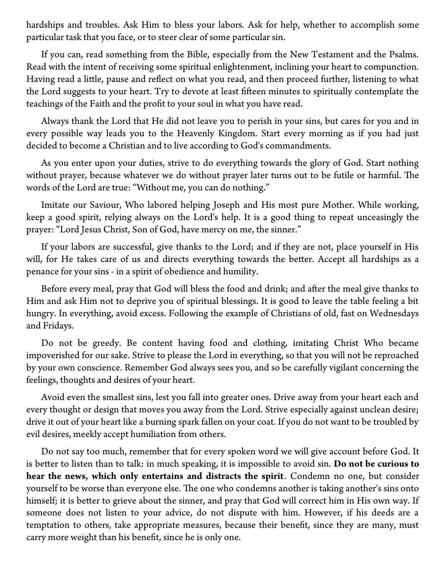hardships and troubles. Ask Him to bless your labors. Ask for help, whether to accomplish some particular task that you face, or to steer clear of some particular sin.

If you can, read something from the Bible, especially from the New Testament and the Psalms. Read with the intent of receiving some spiritual enlightenment, inclining your heart to compunction. Having read a litle, pause and refect on what you read, and then proceed further, listening to what the Lord suggests to your heart. Try to devote at least fifteen minutes to spiritually contemplate the teachings of the Faith and the proft to your soul in what you have read.

Always thank the Lord that He did not leave you to perish in your sins, but cares for you and in every possible way leads you to the Heavenly Kingdom. Start every morning as if you had just decided to become a Christian and to live according to God's commandments.

As you enter upon your duties, strive to do everything towards the glory of God. Start nothing without prayer, because whatever we do without prayer later turns out to be futile or harmful. The words of the Lord are true: "Without me, you can do nothing."

Imitate our Saviour, Who labored helping Joseph and His most pure Mother. While working, keep a good spirit, relying always on the Lord's help. It is a good thing to repeat unceasingly the prayer: "Lord Jesus Christ, Son of God, have mercy on me, the sinner."

If your labors are successful, give thanks to the Lord; and if they are not, place yourself in His will, for He takes care of us and directs everything towards the better. Accept all hardships as a penance for your sins - in a spirit of obedience and humility.

Before every meal, pray that God will bless the food and drink; and after the meal give thanks to Him and ask Him not to deprive you of spiritual blessings. It is good to leave the table feeling a bit hungry. In everything, avoid excess. Following the example of Christians of old, fast on Wednesdays and Fridays.

Do not be greedy. Be content having food and clothing, imitating Christ Who became impoverished for our sake. Strive to please the Lord in everything, so that you will not be reproached by your own conscience. Remember God always sees you, and so be carefully vigilant concerning the feelings, thoughts and desires of your heart.

Avoid even the smallest sins, lest you fall into greater ones. Drive away from your heart each and every thought or design that moves you away from the Lord. Strive especially against unclean desire; drive it out of your heart like a burning spark fallen on your coat. If you do not want to be troubled by evil desires, meekly accept humiliation from others.

Do not say too much, remember that for every spoken word we will give account before God. It is beter to listen than to talk: in much speaking, it is impossible to avoid sin. **Do not be curious to hear the news, which only entertains and distracts the spirit**. Condemn no one, but consider yourself to be worse than everyone else. The one who condemns another is taking another's sins onto himself; it is beter to grieve about the sinner, and pray that God will correct him in His own way. If someone does not listen to your advice, do not dispute with him. However, if his deeds are a temptation to others, take appropriate measures, because their beneft, since they are many, must carry more weight than his beneft, since he is only one.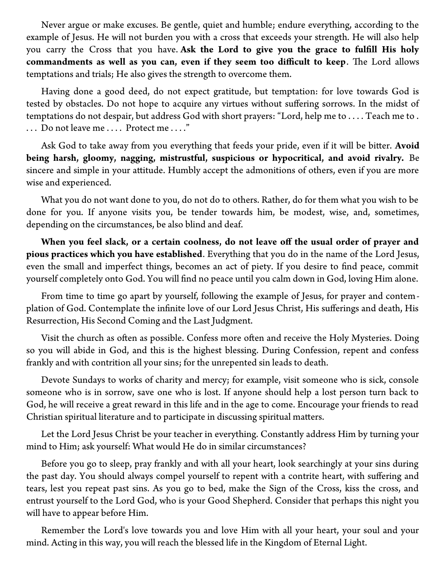Never argue or make excuses. Be gentle, quiet and humble; endure everything, according to the example of Jesus. He will not burden you with a cross that exceeds your strength. He will also help you carry the Cross that you have. **Ask the Lord to give you the grace to fulfll His holy** commandments as well as you can, even if they seem too difficult to keep. The Lord allows temptations and trials; He also gives the strength to overcome them.

Having done a good deed, do not expect gratitude, but temptation: for love towards God is tested by obstacles. Do not hope to acquire any virtues without sufering sorrows. In the midst of temptations do not despair, but address God with short prayers: "Lord, help me to . . . . Teach me to . . . . Do not leave me . . . . Protect me . . . ."

Ask God to take away from you everything that feeds your pride, even if it will be biter. **Avoid being harsh, gloomy, nagging, mistrustful, suspicious or hypocritical, and avoid rivalry.** Be sincere and simple in your atitude. Humbly accept the admonitions of others, even if you are more wise and experienced.

What you do not want done to you, do not do to others. Rather, do for them what you wish to be done for you. If anyone visits you, be tender towards him, be modest, wise, and, sometimes, depending on the circumstances, be also blind and deaf.

**When you feel slack, or a certain coolness, do not leave of the usual order of prayer and pious practices which you have established**. Everything that you do in the name of the Lord Jesus, even the small and imperfect things, becomes an act of piety. If you desire to fnd peace, commit yourself completely onto God. You will fnd no peace until you calm down in God, loving Him alone.

From time to time go apart by yourself, following the example of Jesus, for prayer and contemplation of God. Contemplate the infnite love of our Lord Jesus Christ, His suferings and death, His Resurrection, His Second Coming and the Last Judgment.

Visit the church as often as possible. Confess more often and receive the Holy Mysteries. Doing so you will abide in God, and this is the highest blessing. During Confession, repent and confess frankly and with contrition all your sins; for the unrepented sin leads to death.

Devote Sundays to works of charity and mercy; for example, visit someone who is sick, console someone who is in sorrow, save one who is lost. If anyone should help a lost person turn back to God, he will receive a great reward in this life and in the age to come. Encourage your friends to read Christian spiritual literature and to participate in discussing spiritual maters.

Let the Lord Jesus Christ be your teacher in everything. Constantly address Him by turning your mind to Him; ask yourself: What would He do in similar circumstances?

Before you go to sleep, pray frankly and with all your heart, look searchingly at your sins during the past day. You should always compel yourself to repent with a contrite heart, with sufering and tears, lest you repeat past sins. As you go to bed, make the Sign of the Cross, kiss the cross, and entrust yourself to the Lord God, who is your Good Shepherd. Consider that perhaps this night you will have to appear before Him.

Remember the Lord's love towards you and love Him with all your heart, your soul and your mind. Acting in this way, you will reach the blessed life in the Kingdom of Eternal Light.